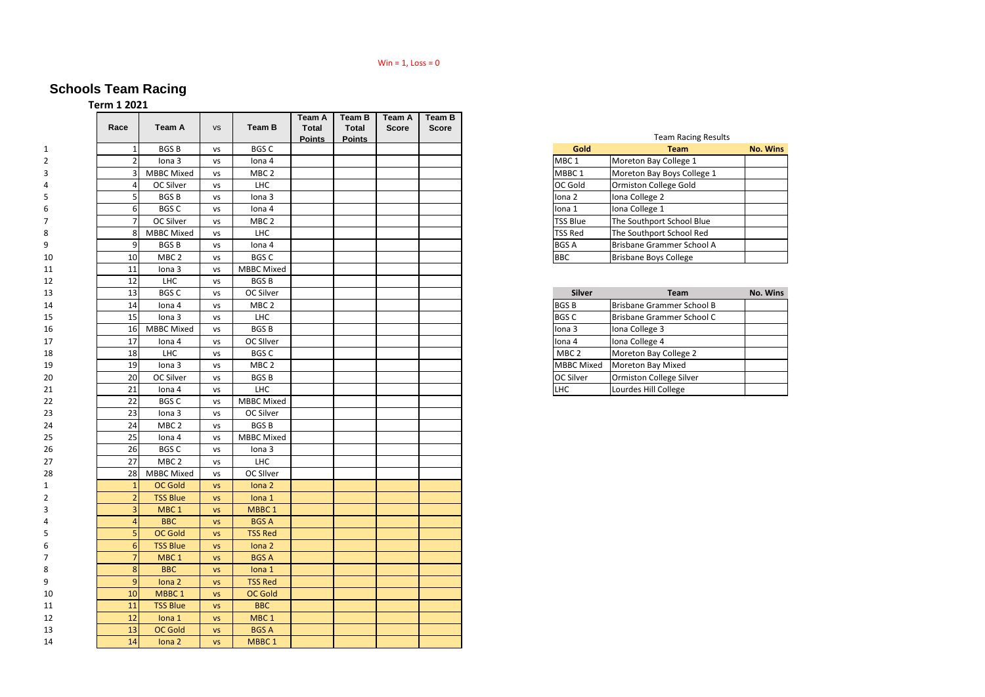## Win =  $1,$  Loss =  $0$

## **Schools Team Racing**

**Term 1 2021**

| Race           | <b>Team A</b>     | <b>VS</b> | <b>Team B</b>     | Team A<br><b>Total</b> | <b>Team B</b><br><b>Total</b> | <b>Team A</b><br><b>Score</b> | Team B<br><b>Score</b> |
|----------------|-------------------|-----------|-------------------|------------------------|-------------------------------|-------------------------------|------------------------|
|                |                   |           |                   | <b>Points</b>          | <b>Points</b>                 |                               |                        |
|                | <b>BGSB</b>       | <b>VS</b> | <b>BGSC</b>       |                        |                               |                               |                        |
|                | Iona 3            | <b>VS</b> | Iona 4            |                        |                               |                               |                        |
|                | <b>MBBC Mixed</b> | <b>VS</b> | MBC <sub>2</sub>  |                        |                               |                               |                        |
|                | OC Silver         | <b>VS</b> | LHC               |                        |                               |                               |                        |
|                | <b>BGSB</b>       | <b>VS</b> | Iona 3            |                        |                               |                               |                        |
| 61             | <b>BGSC</b>       | <b>VS</b> | lona 4            |                        |                               |                               |                        |
|                | OC Silver         | <b>VS</b> | MBC <sub>2</sub>  |                        |                               |                               |                        |
|                | <b>MBBC Mixed</b> | <b>VS</b> | <b>LHC</b>        |                        |                               |                               |                        |
|                | <b>BGSB</b>       | <b>VS</b> | Iona 4            |                        |                               |                               |                        |
| 10             | MBC <sub>2</sub>  | <b>VS</b> | <b>BGSC</b>       |                        |                               |                               |                        |
| 11             | Iona 3            | VS        | <b>MBBC Mixed</b> |                        |                               |                               |                        |
| 12             | <b>LHC</b>        | <b>VS</b> | <b>BGSB</b>       |                        |                               |                               |                        |
| 13             | <b>BGSC</b>       | <b>VS</b> | OC Silver         |                        |                               |                               |                        |
| 14             | lona 4            | <b>VS</b> | MBC <sub>2</sub>  |                        |                               |                               |                        |
| 15             | Iona 3            | <b>VS</b> | <b>LHC</b>        |                        |                               |                               |                        |
| 16             | <b>MBBC Mixed</b> | <b>VS</b> | <b>BGSB</b>       |                        |                               |                               |                        |
| 17             | Iona 4            | <b>VS</b> | OC SIlver         |                        |                               |                               |                        |
| 18             | <b>LHC</b>        | <b>VS</b> | <b>BGSC</b>       |                        |                               |                               |                        |
| 19             | Iona 3            | <b>VS</b> | MBC <sub>2</sub>  |                        |                               |                               |                        |
| 20             | OC Silver         | <b>VS</b> | <b>BGSB</b>       |                        |                               |                               |                        |
| 21             | Iona 4            | <b>VS</b> | <b>LHC</b>        |                        |                               |                               |                        |
| 22             | <b>BGSC</b>       | <b>VS</b> | <b>MBBC Mixed</b> |                        |                               |                               |                        |
| 23             | Iona 3            | <b>VS</b> | OC Silver         |                        |                               |                               |                        |
| 24             | MBC <sub>2</sub>  | <b>VS</b> | <b>BGSB</b>       |                        |                               |                               |                        |
| 25             | Iona 4            | <b>VS</b> | <b>MBBC Mixed</b> |                        |                               |                               |                        |
| 26             | <b>BGSC</b>       | <b>VS</b> | Iona 3            |                        |                               |                               |                        |
| 27             | MBC <sub>2</sub>  | <b>VS</b> | LHC               |                        |                               |                               |                        |
| 28             | <b>MBBC Mixed</b> | <b>VS</b> | OC SIlver         |                        |                               |                               |                        |
| $\mathbf{1}$   | <b>OC Gold</b>    | <b>VS</b> | Iona 2            |                        |                               |                               |                        |
|                | <b>TSS Blue</b>   | <b>VS</b> | Iona 1            |                        |                               |                               |                        |
|                | MBC <sub>1</sub>  | <b>VS</b> | MBBC <sub>1</sub> |                        |                               |                               |                        |
|                | <b>BBC</b>        | <b>VS</b> | <b>BGS A</b>      |                        |                               |                               |                        |
|                | <b>OC Gold</b>    | <b>VS</b> | <b>TSS Red</b>    |                        |                               |                               |                        |
|                | <b>TSS Blue</b>   | <b>VS</b> | Iona 2            |                        |                               |                               |                        |
|                | MBC <sub>1</sub>  |           |                   |                        |                               |                               |                        |
|                |                   | <b>VS</b> | <b>BGS A</b>      |                        |                               |                               |                        |
|                | <b>BBC</b>        | <b>VS</b> | lona 1            |                        |                               |                               |                        |
| $\overline{9}$ | Iona 2            | <b>VS</b> | <b>TSS Red</b>    |                        |                               |                               |                        |
| 10             | MBBC <sub>1</sub> | <b>VS</b> | OC Gold           |                        |                               |                               |                        |
| 11             | <b>TSS Blue</b>   | <b>VS</b> | <b>BBC</b>        |                        |                               |                               |                        |
| 12             | lona 1            | <b>VS</b> | MBC <sub>1</sub>  |                        |                               |                               |                        |
| 13             | OC Gold           | <b>VS</b> | <b>BGS A</b>      |                        |                               |                               |                        |
| 14             | Iona 2            | <b>VS</b> | MBBC <sub>1</sub> |                        |                               |                               |                        |

| Gold              | <b>Team</b>                      | <b>No. Wins</b> |
|-------------------|----------------------------------|-----------------|
| MBC <sub>1</sub>  | Moreton Bay College 1            |                 |
| MBBC <sub>1</sub> | Moreton Bay Boys College 1       |                 |
| OC Gold           | <b>Ormiston College Gold</b>     |                 |
| Iona 2            | Iona College 2                   |                 |
| lona 1            | Iona College 1                   |                 |
| <b>TSS Blue</b>   | The Southport School Blue        |                 |
| <b>TSS Red</b>    | The Southport School Red         |                 |
| <b>BGS A</b>      | <b>Brisbane Grammer School A</b> |                 |
| <b>BBC</b>        | <b>Brisbane Boys College</b>     |                 |

| <b>Silver</b>     | <b>Team</b>                    | <b>No. Wins</b> |
|-------------------|--------------------------------|-----------------|
| <b>BGSB</b>       | Brisbane Grammer School B      |                 |
| <b>BGS C</b>      | Brisbane Grammer School C      |                 |
| Iona 3            | Iona College 3                 |                 |
| lona 4            | Iona College 4                 |                 |
| MBC <sub>2</sub>  | Moreton Bay College 2          |                 |
| <b>MBBC Mixed</b> | Moreton Bay Mixed              |                 |
| OC Silver         | <b>Ormiston College Silver</b> |                 |
| LHC               | Lourdes Hill College           |                 |